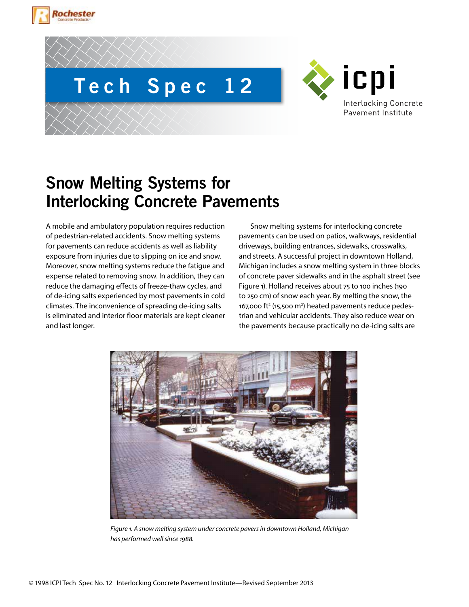





# **Snow Melting Systems for Interlocking Concrete Pavements**

A mobile and ambulatory population requires reduction of pedestrian-related accidents. Snow melting systems for pavements can reduce accidents as well as liability exposure from injuries due to slipping on ice and snow. Moreover, snow melting systems reduce the fatigue and expense related to removing snow. In addition, they can reduce the damaging effects of freeze-thaw cycles, and of de-icing salts experienced by most pavements in cold climates. The inconvenience of spreading de-icing salts is eliminated and interior floor materials are kept cleaner and last longer.

Snow melting systems for interlocking concrete pavements can be used on patios, walkways, residential driveways, building entrances, sidewalks, crosswalks, and streets. A successful project in downtown Holland, Michigan includes a snow melting system in three blocks of concrete paver sidewalks and in the asphalt street (see Figure 1). Holland receives about 75 to 100 inches (190 to 250 cm) of snow each year. By melting the snow, the 167,000 ft<sup>2</sup> (15,500 m<sup>2</sup>) heated pavements reduce pedestrian and vehicular accidents. They also reduce wear on the pavements because practically no de-icing salts are



*Figure 1. A snow melting system under concrete pavers in downtown Holland, Michigan has performed well since 1988.*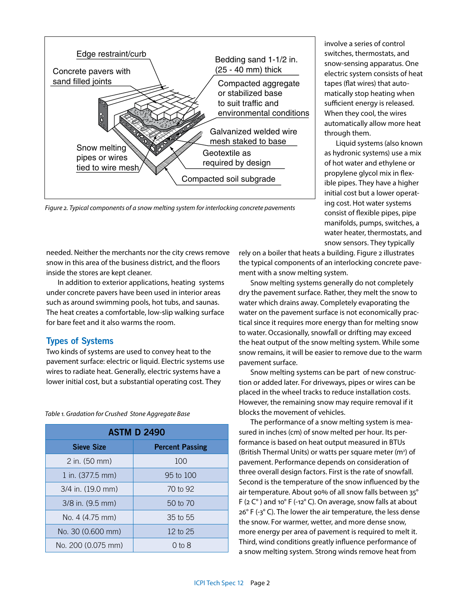

*Figure 2. Typical components of a snow melting system for interlocking concrete pavements*

needed. Neither the merchants nor the city crews remove snow in this area of the business district, and the floors inside the stores are kept cleaner.

In addition to exterior applications, heating systems under concrete pavers have been used in interior areas such as around swimming pools, hot tubs, and saunas. The heat creates a comfortable, low-slip walking surface for bare feet and it also warms the room.

#### **Types of Systems**

Two kinds of systems are used to convey heat to the pavement surface: electric or liquid. Electric systems use wires to radiate heat. Generally, electric systems have a lower initial cost, but a substantial operating cost. They

**ASTM D 2490 Sieve Size**  Percent Passing 2 in. (50 mm) 100 1 in. (377.5 mm) 95 to 100 3/4 in. (19.0 mm) 70 to 92 3/8 in. (9.5 mm) 50 to 70 No. 4 (4.75 mm) 35 to 55 No. 30 (0.600 mm) 12 to 25 No. 200 (0.075 mm)  $\vert$  0 to 8

*Table 1. Gradation for Crushed Stone Aggregate Base*

involve a series of control switches, thermostats, and snow-sensing apparatus. One electric system consists of heat tapes (flat wires) that automatically stop heating when sufficient energy is released. When they cool, the wires automatically allow more heat through them.

Liquid systems (also known as hydronic systems) use a mix of hot water and ethylene or propylene glycol mix in flexible pipes. They have a higher initial cost but a lower operating cost. Hot water systems consist of flexible pipes, pipe manifolds, pumps, switches, a water heater, thermostats, and snow sensors. They typically

rely on a boiler that heats a building. Figure 2 illustrates the typical components of an interlocking concrete pavement with a snow melting system.

Snow melting systems generally do not completely dry the pavement surface. Rather, they melt the snow to water which drains away. Completely evaporating the water on the pavement surface is not economically practical since it requires more energy than for melting snow to water. Occasionally, snowfall or drifting may exceed the heat output of the snow melting system. While some snow remains, it will be easier to remove due to the warm pavement surface.

Snow melting systems can be part of new construction or added later. For driveways, pipes or wires can be placed in the wheel tracks to reduce installation costs. However, the remaining snow may require removal if it blocks the movement of vehicles.

The performance of a snow melting system is measured in inches (cm) of snow melted per hour. Its performance is based on heat output measured in BTUs (British Thermal Units) or watts per square meter (m<sup>2</sup>) of pavement. Performance depends on consideration of three overall design factors. First is the rate of snowfall. Second is the temperature of the snow influenced by the air temperature. About 90% of all snow falls between 35° F ( $2$  C $\degree$ ) and 10 $\degree$  F (-12 $\degree$  C). On average, snow falls at about 26° F (-3° C). The lower the air temperature, the less dense the snow. For warmer, wetter, and more dense snow, more energy per area of pavement is required to melt it. Third, wind conditions greatly influence performance of a snow melting system. Strong winds remove heat from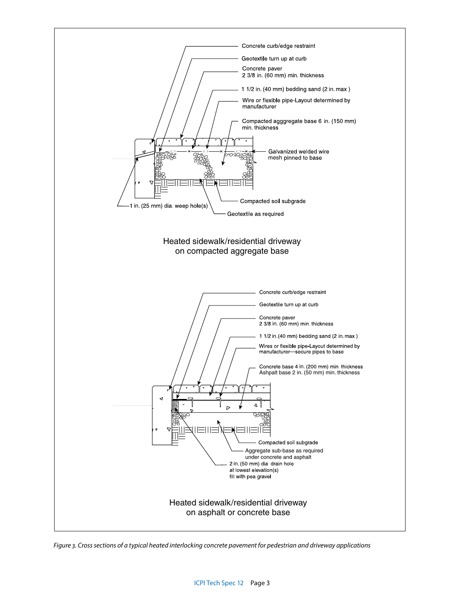

*Figure 3. Cross sections of a typical heated interlocking concrete pavement for pedestrian and driveway applications*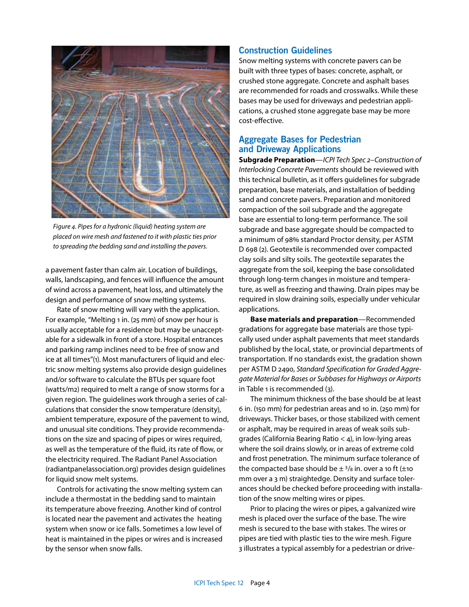

*Figure 4. Pipes for a hydronic (liquid) heating system are placed on wire mesh and fastened to it with plastic ties prior to spreading the bedding sand and installing the pavers.*

a pavement faster than calm air. Location of buildings, walls, landscaping, and fences will influence the amount of wind across a pavement, heat loss, and ultimately the design and performance of snow melting systems.

Rate of snow melting will vary with the application. For example, "Melting 1 in. (25 mm) of snow per hour is usually acceptable for a residence but may be unacceptable for a sidewalk in front of a store. Hospital entrances and parking ramp inclines need to be free of snow and ice at all times"(1). Most manufacturers of liquid and electric snow melting systems also provide design guidelines and/or software to calculate the BTUs per square foot (watts/m2) required to melt a range of snow storms for a given region. The guidelines work through a series of calculations that consider the snow temperature (density), ambient temperature, exposure of the pavement to wind, and unusual site conditions. They provide recommendations on the size and spacing of pipes or wires required, as well as the temperature of the fluid, its rate of flow, or the electricity required. The Radiant Panel Association (radiantpanelassociation.org) provides design guidelines for liquid snow melt systems.

Controls for activating the snow melting system can include a thermostat in the bedding sand to maintain its temperature above freezing. Another kind of control is located near the pavement and activates the heating system when snow or ice falls. Sometimes a low level of heat is maintained in the pipes or wires and is increased by the sensor when snow falls.

#### **Construction Guidelines**

Snow melting systems with concrete pavers can be built with three types of bases: concrete, asphalt, or crushed stone aggregate. Concrete and asphalt bases are recommended for roads and crosswalks. While these bases may be used for driveways and pedestrian applications, a crushed stone aggregate base may be more cost-effective.

# **Aggregate Bases for Pedestrian and Driveway Applications**

**Subgrade Preparation**—*ICPI Tech Spec 2–Construction of Interlocking Concrete Pavements* should be reviewed with this technical bulletin, as it offers guidelines for subgrade preparation, base materials, and installation of bedding sand and concrete pavers. Preparation and monitored compaction of the soil subgrade and the aggregate base are essential to long-term performance. The soil subgrade and base aggregate should be compacted to a minimum of 98% standard Proctor density, per ASTM D 698 (2). Geotextile is recommended over compacted clay soils and silty soils. The geotextile separates the aggregate from the soil, keeping the base consolidated through long-term changes in moisture and temperature, as well as freezing and thawing. Drain pipes may be required in slow draining soils, especially under vehicular applications.

**Base materials and preparation**—Recommended gradations for aggregate base materials are those typically used under asphalt pavements that meet standards published by the local, state, or provincial departments of transportation. If no standards exist, the gradation shown per ASTM D 2490, *Standard Specification for Graded Aggregate Material for Bases or Subbases for Highways or Airports*  in Table 1 is recommended (3).

The minimum thickness of the base should be at least 6 in. (150 mm) for pedestrian areas and 10 in. (250 mm) for driveways. Thicker bases, or those stabilized with cement or asphalt, may be required in areas of weak soils subgrades (California Bearing Ratio < 4), in low-lying areas where the soil drains slowly, or in areas of extreme cold and frost penetration. The minimum surface tolerance of the compacted base should be  $\pm$  3/8 in. over a 10 ft ( $\pm$ 10 mm over a 3 m) straightedge. Density and surface tolerances should be checked before proceeding with installation of the snow melting wires or pipes.

Prior to placing the wires or pipes, a galvanized wire mesh is placed over the surface of the base. The wire mesh is secured to the base with stakes. The wires or pipes are tied with plastic ties to the wire mesh. Figure 3 illustrates a typical assembly for a pedestrian or drive-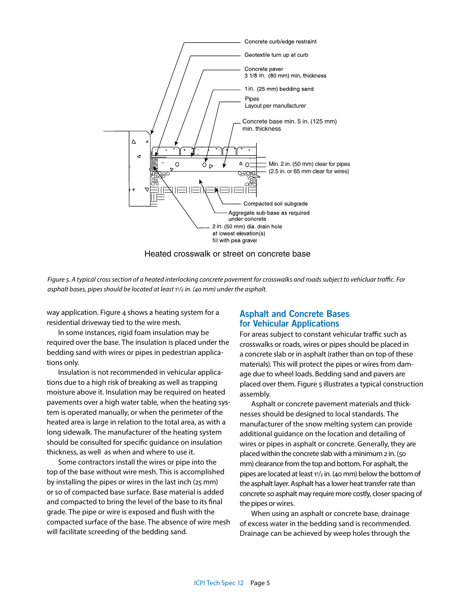

Heated crosswalk or street on concrete base

*Figure 5. A typical cross section of a heated interlocking concrete pavement for crosswalks and roads subject to vehicluar traffic. For asphalt bases, pipes should be located at least 11/2 in. (40 mm) under the asphalt.*

way application. Figure 4 shows a heating system for a residential driveway tied to the wire mesh.

In some instances, rigid foam insulation may be required over the base. The insulation is placed under the bedding sand with wires or pipes in pedestrian applications only.

Insulation is not recommended in vehicular applications due to a high risk of breaking as well as trapping moisture above it. Insulation may be required on heated pavements over a high water table, when the heating system is operated manually, or when the perimeter of the heated area is large in relation to the total area, as with a long sidewalk. The manufacturer of the heating system should be consulted for specific guidance on insulation thickness, as well as when and where to use it.

Some contractors install the wires or pipe into the top of the base without wire mesh. This is accomplished by installing the pipes or wires in the last inch (25 mm) or so of compacted base surface. Base material is added and compacted to bring the level of the base to its final grade. The pipe or wire is exposed and flush with the compacted surface of the base. The absence of wire mesh will facilitate screeding of the bedding sand.

## **Asphalt and Concrete Bases for Vehicular Applications**

For areas subject to constant vehicular traffic such as crosswalks or roads, wires or pipes should be placed in a concrete slab or in asphalt (rather than on top of these materials). This will protect the pipes or wires from damage due to wheel loads. Bedding sand and pavers are placed over them. Figure 5 illustrates a typical construction assembly.

Asphalt or concrete pavement materials and thicknesses should be designed to local standards. The manufacturer of the snow melting system can provide additional guidance on the location and detailing of wires or pipes in asphalt or concrete. Generally, they are placed within the concrete slab with a minimum 2 in. (50 mm) clearance from the top and bottom. For asphalt, the pipes are located at least 11/2 in. (40 mm) below the bottom of the asphalt layer. Asphalt has a lower heat transfer rate than concrete so asphalt may require more costly, closer spacing of the pipes or wires.

When using an asphalt or concrete base, drainage of excess water in the bedding sand is recommended. Drainage can be achieved by weep holes through the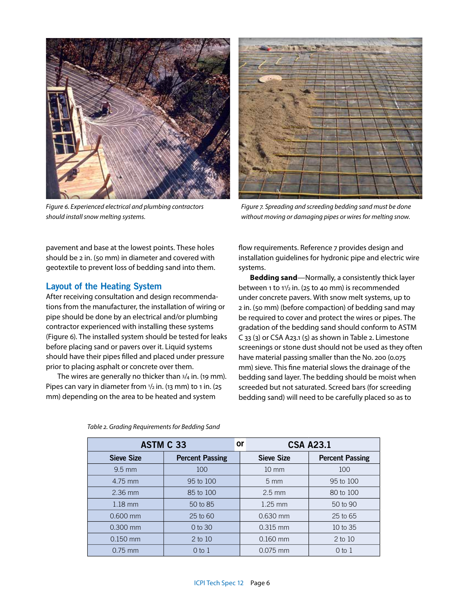

*Figure 6. Experienced electrical and plumbing contractors should install snow melting systems.*



*Figure 7. Spreading and screeding bedding sand must be done without moving or damaging pipes or wires for melting snow.*

pavement and base at the lowest points. These holes should be 2 in. (50 mm) in diameter and covered with geotextile to prevent loss of bedding sand into them.

# **Layout of the Heating System**

After receiving consultation and design recommendations from the manufacturer, the installation of wiring or pipe should be done by an electrical and/or plumbing contractor experienced with installing these systems (Figure 6). The installed system should be tested for leaks before placing sand or pavers over it. Liquid systems should have their pipes filled and placed under pressure prior to placing asphalt or concrete over them.

The wires are generally no thicker than  $3/4$  in. (19 mm). Pipes can vary in diameter from  $1/2$  in. (13 mm) to 1 in. (25 mm) depending on the area to be heated and system

flow requirements. Reference 7 provides design and installation guidelines for hydronic pipe and electric wire systems.

**Bedding sand**—Normally, a consistently thick layer between 1 to  $11/2$  in. (25 to 40 mm) is recommended under concrete pavers. With snow melt systems, up to 2 in. (50 mm) (before compaction) of bedding sand may be required to cover and protect the wires or pipes. The gradation of the bedding sand should conform to ASTM C 33 (3) or CSA A23.1 (5) as shown in Table 2. Limestone screenings or stone dust should not be used as they often have material passing smaller than the No. 200 (0.075 mm) sieve. This fine material slows the drainage of the bedding sand layer. The bedding should be moist when screeded but not saturated. Screed bars (for screeding bedding sand) will need to be carefully placed so as to

| <b>ASTM C 33</b>  |                        | <b>or</b> | <b>CSA A23.1</b>  |                        |
|-------------------|------------------------|-----------|-------------------|------------------------|
| <b>Sieve Size</b> | <b>Percent Passing</b> |           | <b>Sieve Size</b> | <b>Percent Passing</b> |
| $9.5$ mm          | 100                    |           | $10 \text{ mm}$   | 100                    |
| 4.75 mm           | 95 to 100              |           | $5 \text{ mm}$    | 95 to 100              |
| $2.36$ mm         | 85 to 100              |           | $2.5 \text{ mm}$  | 80 to 100              |
| $1.18$ mm         | 50 to 85               |           | $1.25$ mm         | 50 to 90               |
| $0.600$ mm        | $25$ to $60$           |           | $0.630$ mm        | 25 to 65               |
| $0.300$ mm        | $0$ to $30$            |           | $0.315$ mm        | 10 to 35               |
| $0.150$ mm        | $2$ to $10$            |           | $0.160$ mm        | 2 to 10                |
| $0.75$ mm         | $0$ to $1$             |           | 0.075 mm          | $0$ to $1$             |

*Table 2. Grading Requirements for Bedding Sand*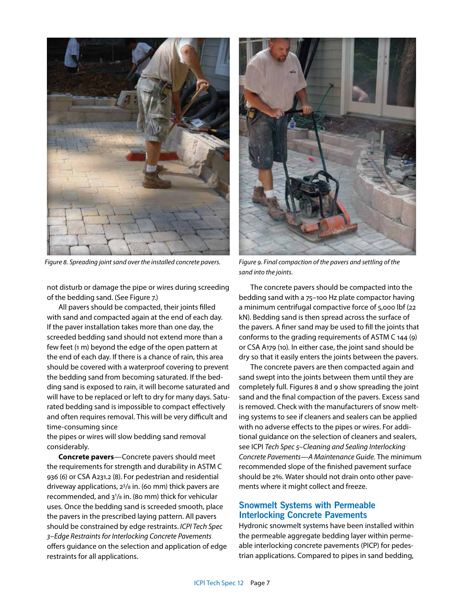

*Figure 8. Spreading joint sand over the installed concrete pavers.* 

not disturb or damage the pipe or wires during screeding of the bedding sand. (See Figure 7.)

All pavers should be compacted, their joints filled with sand and compacted again at the end of each day. If the paver installation takes more than one day, the screeded bedding sand should not extend more than a few feet (1 m) beyond the edge of the open pattern at the end of each day. If there is a chance of rain, this area should be covered with a waterproof covering to prevent the bedding sand from becoming saturated. If the bedding sand is exposed to rain, it will become saturated and will have to be replaced or left to dry for many days. Saturated bedding sand is impossible to compact effectively and often requires removal. This will be very difficult and time-consuming since

the pipes or wires will slow bedding sand removal considerably.

**Concrete pavers**—Concrete pavers should meet the requirements for strength and durability in ASTM C 936 (6) or CSA A231.2 (8). For pedestrian and residential driveway applications, 23/8 in. (60 mm) thick pavers are recommended, and 31 /8 in. (80 mm) thick for vehicular uses. Once the bedding sand is screeded smooth, place the pavers in the prescribed laying pattern. All pavers should be constrained by edge restraints. *ICPI Tech Spec 3–Edge Restraints for Interlocking Concrete Pavements* offers guidance on the selection and application of edge restraints for all applications.



*Figure 9. Final compaction of the pavers and settling of the sand into the joints.*

The concrete pavers should be compacted into the bedding sand with a 75–100 Hz plate compactor having a minimum centrifugal compactive force of 5,000 lbf (22 kN). Bedding sand is then spread across the surface of the pavers. A finer sand may be used to fill the joints that conforms to the grading requirements of ASTM C 144 (9) or CSA A179 (10). In either case, the joint sand should be dry so that it easily enters the joints between the pavers.

The concrete pavers are then compacted again and sand swept into the joints between them until they are completely full. Figures 8 and 9 show spreading the joint sand and the final compaction of the pavers. Excess sand is removed. Check with the manufacturers of snow melting systems to see if cleaners and sealers can be applied with no adverse effects to the pipes or wires. For additional guidance on the selection of cleaners and sealers, see ICPI *Tech Spec 5–Cleaning and Sealing Interlocking Concrete Pavements—A Maintenance Guide*. The minimum recommended slope of the finished pavement surface should be 2%. Water should not drain onto other pavements where it might collect and freeze.

## **Snowmelt Systems with Permeable Interlocking Concrete Pavements**

Hydronic snowmelt systems have been installed within the permeable aggregate bedding layer within permeable interlocking concrete pavements (PICP) for pedestrian applications. Compared to pipes in sand bedding,